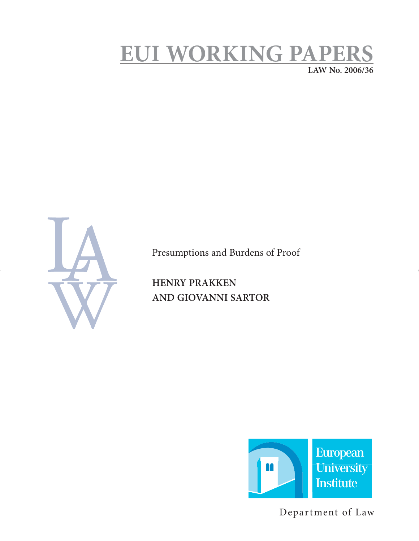# **EUI WORKING PAPERS LAW No. 2006/36**

Presumptions and Burdens of Proof

**HENRY PRAKKEN AND GIOVANNI SARTOR** 



Department of Law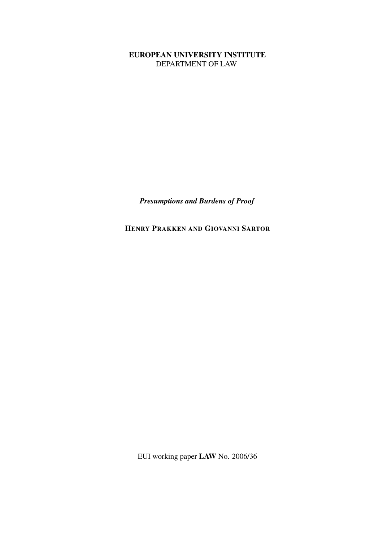EUROPEAN UNIVERSITY INSTITUTE DEPARTMENT OF LAW

*Presumptions and Burdens of Proof*

HENRY PRAKKEN AND GIOVANNI SARTOR

EUI working paper LAW No. 2006/36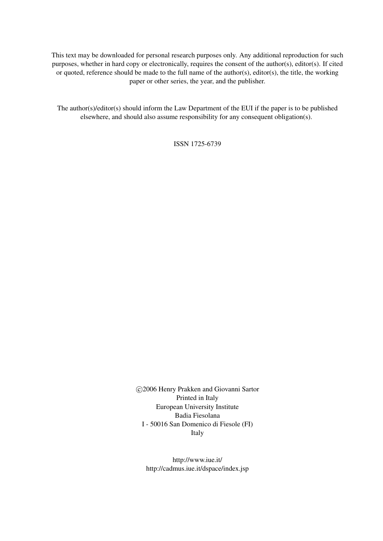This text may be downloaded for personal research purposes only. Any additional reproduction for such purposes, whether in hard copy or electronically, requires the consent of the author(s), editor(s). If cited or quoted, reference should be made to the full name of the author(s), editor(s), the title, the working paper or other series, the year, and the publisher.

The author(s)/editor(s) should inform the Law Department of the EUI if the paper is to be published elsewhere, and should also assume responsibility for any consequent obligation(s).

ISSN 1725-6739

 c 2006 Henry Prakken and Giovanni Sartor Printed in Italy European University Institute Badia Fiesolana I - 50016 San Domenico di Fiesole (FI) Italy

http://www.iue.it/ http://cadmus.iue.it/dspace/index.jsp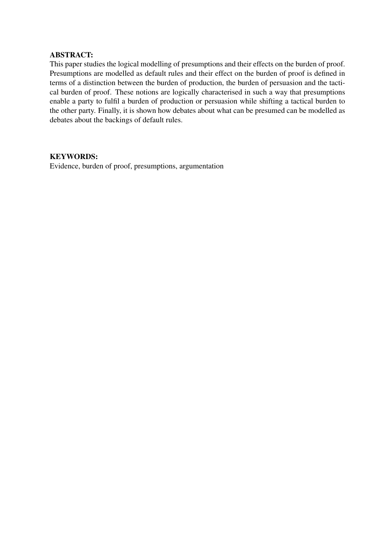#### ABSTRACT:

This paper studies the logical modelling of presumptions and their effects on the burden of proof. Presumptions are modelled as default rules and their effect on the burden of proof is defined in terms of a distinction between the burden of production, the burden of persuasion and the tactical burden of proof. These notions are logically characterised in such a way that presumptions enable a party to fulfil a burden of production or persuasion while shifting a tactical burden to the other party. Finally, it is shown how debates about what can be presumed can be modelled as debates about the backings of default rules.

#### KEYWORDS:

Evidence, burden of proof, presumptions, argumentation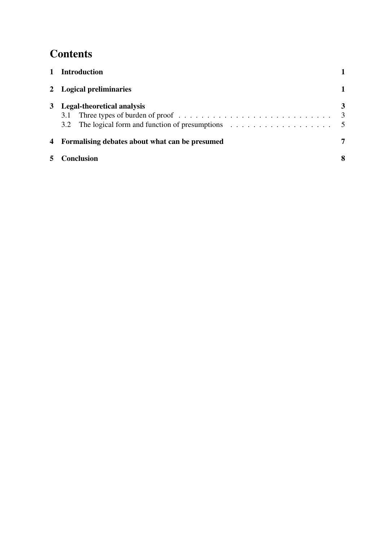# **Contents**

| 1 Introduction                                                                                                                |                              |
|-------------------------------------------------------------------------------------------------------------------------------|------------------------------|
| 2 Logical preliminaries                                                                                                       | 1                            |
| 3 Legal-theoretical analysis<br>3.2 The logical form and function of presumptions $\dots \dots \dots \dots \dots \dots \dots$ | 3<br>$\overline{\mathbf{3}}$ |
| 4 Formalising debates about what can be presumed                                                                              | 7                            |
| <b>Conclusion</b>                                                                                                             |                              |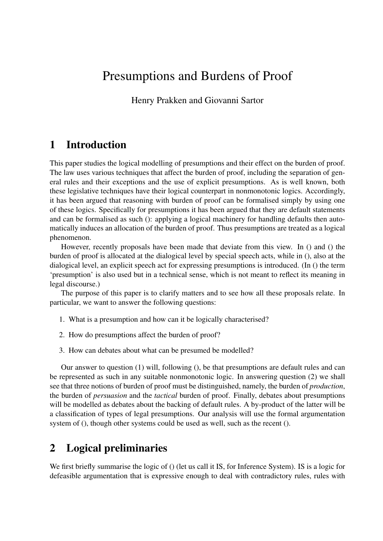# Presumptions and Burdens of Proof

Henry Prakken and Giovanni Sartor

## 1 Introduction

This paper studies the logical modelling of presumptions and their effect on the burden of proof. The law uses various techniques that affect the burden of proof, including the separation of general rules and their exceptions and the use of explicit presumptions. As is well known, both these legislative techniques have their logical counterpart in nonmonotonic logics. Accordingly, it has been argued that reasoning with burden of proof can be formalised simply by using one of these logics. Specifically for presumptions it has been argued that they are default statements and can be formalised as such (): applying a logical machinery for handling defaults then automatically induces an allocation of the burden of proof. Thus presumptions are treated as a logical phenomenon.

However, recently proposals have been made that deviate from this view. In () and () the burden of proof is allocated at the dialogical level by special speech acts, while in (), also at the dialogical level, an explicit speech act for expressing presumptions is introduced. (In () the term 'presumption' is also used but in a technical sense, which is not meant to reflect its meaning in legal discourse.)

The purpose of this paper is to clarify matters and to see how all these proposals relate. In particular, we want to answer the following questions:

- 1. What is a presumption and how can it be logically characterised?
- 2. How do presumptions affect the burden of proof?
- 3. How can debates about what can be presumed be modelled?

Our answer to question (1) will, following (), be that presumptions are default rules and can be represented as such in any suitable nonmonotonic logic. In answering question (2) we shall see that three notions of burden of proof must be distinguished, namely, the burden of *production*, the burden of *persuasion* and the *tactical* burden of proof. Finally, debates about presumptions will be modelled as debates about the backing of default rules. A by-product of the latter will be a classification of types of legal presumptions. Our analysis will use the formal argumentation system of (), though other systems could be used as well, such as the recent ().

## 2 Logical preliminaries

We first briefly summarise the logic of () (let us call it IS, for Inference System). IS is a logic for defeasible argumentation that is expressive enough to deal with contradictory rules, rules with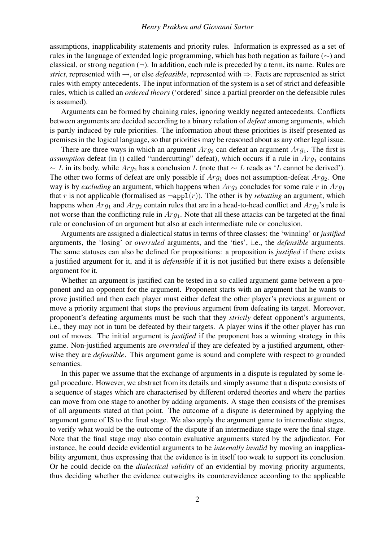assumptions, inapplicability statements and priority rules. Information is expressed as a set of rules in the language of extended logic programming, which has both negation as failure (∼) and classical, or strong negation  $(\neg)$ . In addition, each rule is preceded by a term, its name. Rules are *strict*, represented with →, or else *defeasible*, represented with ⇒. Facts are represented as strict rules with empty antecedents. The input information of the system is a set of strict and defeasible rules, which is called an *ordered theory* ('ordered' since a partial preorder on the defeasible rules is assumed).

Arguments can be formed by chaining rules, ignoring weakly negated antecedents. Conflicts between arguments are decided according to a binary relation of *defeat* among arguments, which is partly induced by rule priorities. The information about these priorities is itself presented as premises in the logical language, so that priorities may be reasoned about as any other legal issue.

There are three ways in which an argument  $Arg_2$  can defeat an argument  $Arg_1$ . The first is *assumption* defeat (in () called "undercutting" defeat), which occurs if a rule in  $Arg_1$  contains  $\sim L$  in its body, while  $Arg_2$  has a conclusion L (note that  $\sim L$  reads as 'L cannot be derived'). The other two forms of defeat are only possible if  $Arg_1$  does not assumption-defeat  $Arg_2$ . One way is by *excluding* an argument, which happens when  $Arg_2$  concludes for some rule r in  $Arg_1$ that r is not applicable (formalised as  $\neg$ appl $(r)$ ). The other is by *rebutting* an argument, which happens when  $Arg_1$  and  $Arg_2$  contain rules that are in a head-to-head conflict and  $Arg_2$ 's rule is not worse than the conflicting rule in  $Arg_1$ . Note that all these attacks can be targeted at the final rule or conclusion of an argument but also at each intermediate rule or conclusion.

Arguments are assigned a dialectical status in terms of three classes: the 'winning' or *justified* arguments, the 'losing' or *overruled* arguments, and the 'ties', i.e., the *defensible* arguments. The same statuses can also be defined for propositions: a proposition is *justified* if there exists a justified argument for it, and it is *defensible* if it is not justified but there exists a defensible argument for it.

Whether an argument is justified can be tested in a so-called argument game between a proponent and an opponent for the argument. Proponent starts with an argument that he wants to prove justified and then each player must either defeat the other player's previous argument or move a priority argument that stops the previous argument from defeating its target. Moreover, proponent's defeating arguments must be such that they *strictly* defeat opponent's arguments, i.e., they may not in turn be defeated by their targets. A player wins if the other player has run out of moves. The initial argument is *justified* if the proponent has a winning strategy in this game. Non-justified arguments are *overruled* if they are defeated by a justified argument, otherwise they are *defensible*. This argument game is sound and complete with respect to grounded semantics.

In this paper we assume that the exchange of arguments in a dispute is regulated by some legal procedure. However, we abstract from its details and simply assume that a dispute consists of a sequence of stages which are characterised by different ordered theories and where the parties can move from one stage to another by adding arguments. A stage then consists of the premises of all arguments stated at that point. The outcome of a dispute is determined by applying the argument game of IS to the final stage. We also apply the argument game to intermediate stages, to verify what would be the outcome of the dispute if an intermediate stage were the final stage. Note that the final stage may also contain evaluative arguments stated by the adjudicator. For instance, he could decide evidential arguments to be *internally invalid* by moving an inapplicability argument, thus expressing that the evidence is in itself too weak to support its conclusion. Or he could decide on the *dialectical validity* of an evidential by moving priority arguments, thus deciding whether the evidence outweighs its counterevidence according to the applicable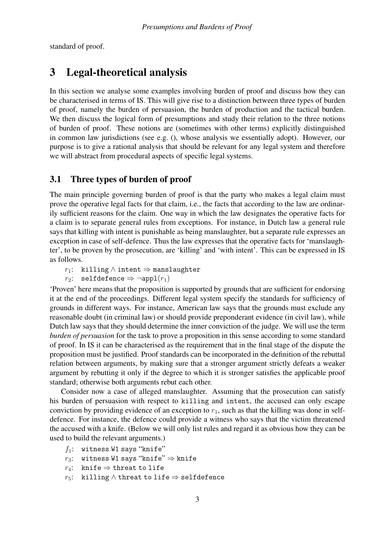standard of proof.

# 3 Legal-theoretical analysis

In this section we analyse some examples involving burden of proof and discuss how they can be characterised in terms of IS. This will give rise to a distinction between three types of burden of proof, namely the burden of persuasion, the burden of production and the tactical burden. We then discuss the logical form of presumptions and study their relation to the three notions of burden of proof. These notions are (sometimes with other terms) explicitly distinguished in common law jurisdictions (see e.g. (), whose analysis we essentially adopt). However, our purpose is to give a rational analysis that should be relevant for any legal system and therefore we will abstract from procedural aspects of specific legal systems.

### 3.1 Three types of burden of proof

The main principle governing burden of proof is that the party who makes a legal claim must prove the operative legal facts for that claim, i.e., the facts that according to the law are ordinarily sufficient reasons for the claim. One way in which the law designates the operative facts for a claim is to separate general rules from exceptions. For instance, in Dutch law a general rule says that killing with intent is punishable as being manslaughter, but a separate rule expresses an exception in case of self-defence. Thus the law expresses that the operative facts for 'manslaughter', to be proven by the prosecution, are 'killing' and 'with intent'. This can be expressed in IS as follows.

- $r_1$ : killing ∧ intent  $\Rightarrow$  manslaughter
- $r_2$ : selfdefence  $\Rightarrow \neg \text{appl}(r_1)$

'Proven' here means that the proposition is supported by grounds that are sufficient for endorsing it at the end of the proceedings. Different legal system specify the standards for sufficiency of grounds in different ways. For instance, American law says that the grounds must exclude any reasonable doubt (in criminal law) or should provide preponderant evidence (in civil law), while Dutch law says that they should determine the inner conviction of the judge. We will use the term *burden of persuasion* for the task to prove a proposition in this sense according to some standard of proof. In IS it can be characterised as the requirement that in the final stage of the dispute the proposition must be justified. Proof standards can be incorporated in the definition of the rebuttal relation between arguments, by making sure that a stronger argument strictly defeats a weaker argument by rebutting it only if the degree to which it is stronger satisfies the applicable proof standard; otherwise both arguments rebut each other.

Consider now a case of alleged manslaughter. Assuming that the prosecution can satisfy his burden of persuasion with respect to killing and intent, the accused can only escape conviction by providing evidence of an exception to  $r_1$ , such as that the killing was done in selfdefence. For instance, the defence could provide a witness who says that the victim threatened the accused with a knife. (Below we will only list rules and regard it as obvious how they can be used to build the relevant arguments.)

- $f_1$ : witness W1 says "knife"
- $r_3$ : witness W1 says "knife"  $\Rightarrow$  knife
- $r_4$ : knife  $\Rightarrow$  threat to life
- $r_5$ : killing  $\wedge$  threat to life  $\Rightarrow$  selfdefence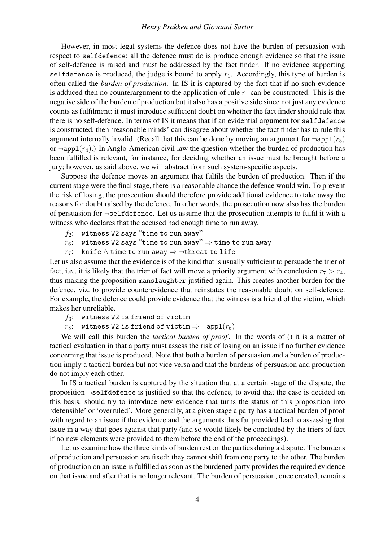#### *Henry Prakken and Giovanni Sartor*

However, in most legal systems the defence does not have the burden of persuasion with respect to selfdefence; all the defence must do is produce enough evidence so that the issue of self-defence is raised and must be addressed by the fact finder. If no evidence supporting selfdefence is produced, the judge is bound to apply  $r_1$ . Accordingly, this type of burden is often called the *burden of production*. In IS it is captured by the fact that if no such evidence is adduced then no counterargument to the application of rule  $r_1$  can be constructed. This is the negative side of the burden of production but it also has a positive side since not just any evidence counts as fulfilment: it must introduce sufficient doubt on whether the fact finder should rule that there is no self-defence. In terms of IS it means that if an evidential argument for selfdefence is constructed, then 'reasonable minds' can disagree about whether the fact finder has to rule this argument internally invalid. (Recall that this can be done by moving an argument for  $\neg$ appl $(r_3)$ ) or  $\neg$ appl( $r_4$ ).) In Anglo-American civil law the question whether the burden of production has been fulfilled is relevant, for instance, for deciding whether an issue must be brought before a jury; however, as said above, we will abstract from such system-specific aspects.

Suppose the defence moves an argument that fulfils the burden of production. Then if the current stage were the final stage, there is a reasonable chance the defence would win. To prevent the risk of losing, the prosecution should therefore provide additional evidence to take away the reasons for doubt raised by the defence. In other words, the prosecution now also has the burden of persuasion for ¬selfdefence. Let us assume that the prosecution attempts to fulfil it with a witness who declares that the accused had enough time to run away.

- $f_2$ : witness W2 says "time to run away"
- $r_6$ : witness W2 says "time to run away"  $\Rightarrow$  time to run away
- $r_7$ : knife  $\wedge$  time to run away  $\Rightarrow$  ¬threat to life

Let us also assume that the evidence is of the kind that is usually sufficient to persuade the trier of fact, i.e., it is likely that the trier of fact will move a priority argument with conclusion  $r_7 > r_4$ , thus making the proposition manslaughter justified again. This creates another burden for the defence, viz. to provide counterevidence that reinstates the reasonable doubt on self-defence. For example, the defence could provide evidence that the witness is a friend of the victim, which makes her unreliable.

- $f_3$ : witness W2 is friend of victim
- r<sub>8</sub>: witness W2 is friend of victim  $\Rightarrow$   $\neg$ appl $(r_6)$

We will call this burden the *tactical burden of proof*. In the words of () it is a matter of tactical evaluation in that a party must assess the risk of losing on an issue if no further evidence concerning that issue is produced. Note that both a burden of persuasion and a burden of production imply a tactical burden but not vice versa and that the burdens of persuasion and production do not imply each other.

In IS a tactical burden is captured by the situation that at a certain stage of the dispute, the proposition ¬selfdefence is justified so that the defence, to avoid that the case is decided on this basis, should try to introduce new evidence that turns the status of this proposition into 'defensible' or 'overruled'. More generally, at a given stage a party has a tactical burden of proof with regard to an issue if the evidence and the arguments thus far provided lead to assessing that issue in a way that goes against that party (and so would likely be concluded by the triers of fact if no new elements were provided to them before the end of the proceedings).

Let us examine how the three kinds of burden rest on the parties during a dispute. The burdens of production and persuasion are fixed: they cannot shift from one party to the other. The burden of production on an issue is fulfilled as soon as the burdened party provides the required evidence on that issue and after that is no longer relevant. The burden of persuasion, once created, remains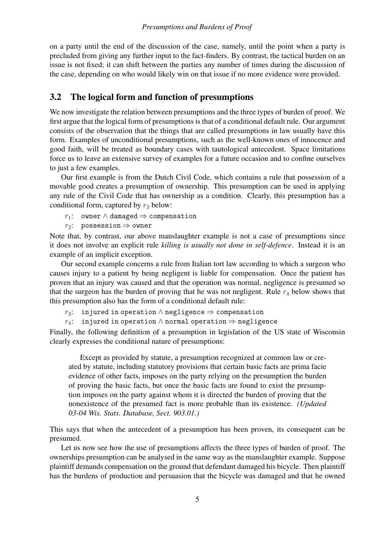on a party until the end of the discussion of the case, namely, until the point when a party is precluded from giving any further input to the fact-finders. By contrast, the tactical burden on an issue is not fixed; it can shift between the parties any number of times during the discussion of the case, depending on who would likely win on that issue if no more evidence were provided.

#### 3.2 The logical form and function of presumptions

We now investigate the relation between presumptions and the three types of burden of proof. We first argue that the logical form of presumptions is that of a conditional default rule. Our argument consists of the observation that the things that are called presumptions in law usually have this form. Examples of unconditional presumptions, such as the well-known ones of innocence and good faith, will be treated as boundary cases with tautological antecedent. Space limitations force us to leave an extensive survey of examples for a future occasion and to confine ourselves to just a few examples.

Our first example is from the Dutch Civil Code, which contains a rule that possession of a movable good creates a presumption of ownership. This presumption can be used in applying any rule of the Civil Code that has ownership as a condition. Clearly, this presumption has a conditional form, captured by  $r_2$  below:

```
r_1: owner ∧ damaged \Rightarrow compensation
```

```
r_2: possession \Rightarrow owner
```
Note that, by contrast, our above manslaughter example is not a case of presumptions since it does not involve an explicit rule *killing is usually not done in self-defence*. Instead it is an example of an implicit exception.

Our second example concerns a rule from Italian tort law according to which a surgeon who causes injury to a patient by being negligent is liable for compensation. Once the patient has proven that an injury was caused and that the operation was normal, negligence is presumed so that the surgeon has the burden of proving that he was not negligent. Rule  $r_4$  below shows that this presumption also has the form of a conditional default rule:

r<sub>3</sub>: injured in operation  $\land$  negligence  $\Rightarrow$  compensation

r<sub>4</sub>: injured in operation  $\land$  normal operation  $\Rightarrow$  negligence

Finally, the following definition of a presumption in legislation of the US state of Wisconsin clearly expresses the conditional nature of presumptions:

Except as provided by statute, a presumption recognized at common law or created by statute, including statutory provisions that certain basic facts are prima facie evidence of other facts, imposes on the party relying on the presumption the burden of proving the basic facts, but once the basic facts are found to exist the presumption imposes on the party against whom it is directed the burden of proving that the nonexistence of the presumed fact is more probable than its existence. *(Updated 03-04 Wis. Stats. Database, Sect. 903.01.)*

This says that when the antecedent of a presumption has been proven, its consequent can be presumed.

Let us now see how the use of presumptions affects the three types of burden of proof. The ownerships presumption can be analysed in the same way as the manslaughter example. Suppose plaintiff demands compensation on the ground that defendant damaged his bicycle. Then plaintiff has the burdens of production and persuasion that the bicycle was damaged and that he owned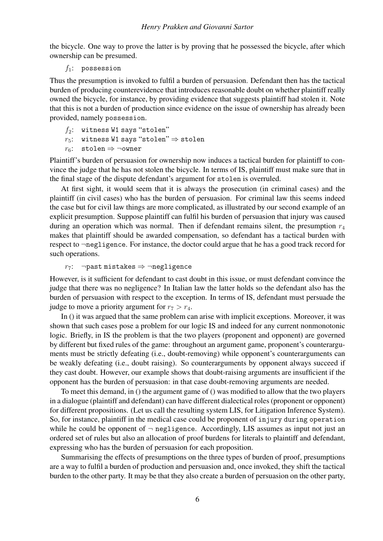the bicycle. One way to prove the latter is by proving that he possessed the bicycle, after which ownership can be presumed.

 $f_1$ : possession

Thus the presumption is invoked to fulfil a burden of persuasion. Defendant then has the tactical burden of producing counterevidence that introduces reasonable doubt on whether plaintiff really owned the bicycle, for instance, by providing evidence that suggests plaintiff had stolen it. Note that this is not a burden of production since evidence on the issue of ownership has already been provided, namely possession.

- $f_2$ : witness W1 says "stolen"
- $r_5$ : witness W1 says "stolen"  $\Rightarrow$  stolen
- $r_6$ : stolen  $\Rightarrow$   $\neg$ owner

Plaintiff's burden of persuasion for ownership now induces a tactical burden for plaintiff to convince the judge that he has not stolen the bicycle. In terms of IS, plaintiff must make sure that in the final stage of the dispute defendant's argument for stolen is overruled.

At first sight, it would seem that it is always the prosecution (in criminal cases) and the plaintiff (in civil cases) who has the burden of persuasion. For criminal law this seems indeed the case but for civil law things are more complicated, as illustrated by our second example of an explicit presumption. Suppose plaintiff can fulfil his burden of persuasion that injury was caused during an operation which was normal. Then if defendant remains silent, the presumption  $r_4$ makes that plaintiff should be awarded compensation, so defendant has a tactical burden with respect to ¬negligence. For instance, the doctor could argue that he has a good track record for such operations.

```
r_7: \negpast mistakes \Rightarrow \negnegligence
```
However, is it sufficient for defendant to cast doubt in this issue, or must defendant convince the judge that there was no negligence? In Italian law the latter holds so the defendant also has the burden of persuasion with respect to the exception. In terms of IS, defendant must persuade the judge to move a priority argument for  $r_7 > r_4$ .

In () it was argued that the same problem can arise with implicit exceptions. Moreover, it was shown that such cases pose a problem for our logic IS and indeed for any current nonmonotonic logic. Briefly, in IS the problem is that the two players (proponent and opponent) are governed by different but fixed rules of the game: throughout an argument game, proponent's counterarguments must be strictly defeating (i.e., doubt-removing) while opponent's counterarguments can be weakly defeating (i.e., doubt raising). So counterarguments by opponent always succeed if they cast doubt. However, our example shows that doubt-raising arguments are insufficient if the opponent has the burden of persuasion: in that case doubt-removing arguments are needed.

To meet this demand, in () the argument game of () was modified to allow that the two players in a dialogue (plaintiff and defendant) can have different dialectical roles (proponent or opponent) for different propositions. (Let us call the resulting system LIS, for Litigation Inference System). So, for instance, plaintiff in the medical case could be proponent of injury during operation while he could be opponent of  $\neg$  negligence. Accordingly, LIS assumes as input not just an ordered set of rules but also an allocation of proof burdens for literals to plaintiff and defendant, expressing who has the burden of persuasion for each proposition.

Summarising the effects of presumptions on the three types of burden of proof, presumptions are a way to fulfil a burden of production and persuasion and, once invoked, they shift the tactical burden to the other party. It may be that they also create a burden of persuasion on the other party,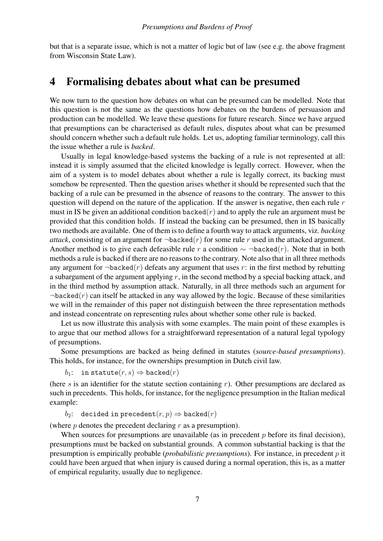but that is a separate issue, which is not a matter of logic but of law (see e.g. the above fragment from Wisconsin State Law).

## 4 Formalising debates about what can be presumed

We now turn to the question how debates on what can be presumed can be modelled. Note that this question is not the same as the questions how debates on the burdens of persuasion and production can be modelled. We leave these questions for future research. Since we have argued that presumptions can be characterised as default rules, disputes about what can be presumed should concern whether such a default rule holds. Let us, adopting familiar terminology, call this the issue whether a rule is *backed*.

Usually in legal knowledge-based systems the backing of a rule is not represented at all: instead it is simply assumed that the elicited knowledge is legally correct. However, when the aim of a system is to model debates about whether a rule is legally correct, its backing must somehow be represented. Then the question arises whether it should be represented such that the backing of a rule can be presumed in the absence of reasons to the contrary. The answer to this question will depend on the nature of the application. If the answer is negative, then each rule  $r$ must in IS be given an additional condition backed $(r)$  and to apply the rule an argument must be provided that this condition holds. If instead the backing can be presumed, then in IS basically two methods are available. One of them is to define a fourth way to attack arguments, viz. *backing attack*, consisting of an argument for  $\neg$ backed $(r)$  for some rule r used in the attacked argument. Another method is to give each defeasible rule r a condition  $\sim \neg$ backed $(r)$ . Note that in both methods a rule is backed if there are no reasons to the contrary. Note also that in all three methods any argument for  $\neg$ backed $(r)$  defeats any argument that uses r: in the first method by rebutting a subargument of the argument applying  $r$ , in the second method by a special backing attack, and in the third method by assumption attack. Naturally, in all three methods such an argument for  $\lnot$ backed(r) can itself be attacked in any way allowed by the logic. Because of these similarities we will in the remainder of this paper not distinguish between the three representation methods and instead concentrate on representing rules about whether some other rule is backed.

Let us now illustrate this analysis with some examples. The main point of these examples is to argue that our method allows for a straightforward representation of a natural legal typology of presumptions.

Some presumptions are backed as being defined in statutes (*source-based presumptions*). This holds, for instance, for the ownerships presumption in Dutch civil law.

 $b_1$ : in statute $(r, s) \Rightarrow$  backed $(r)$ 

(here s is an identifier for the statute section containing  $r$ ). Other presumptions are declared as such in precedents. This holds, for instance, for the negligence presumption in the Italian medical example:

b<sub>2</sub>: decided in precedent $(r, p) \Rightarrow$  backed $(r)$ 

(where  $p$  denotes the precedent declaring  $r$  as a presumption).

When sources for presumptions are unavailable (as in precedent  $p$  before its final decision), presumptions must be backed on substantial grounds. A common substantial backing is that the presumption is empirically probable (*probabilistic presumptions*). For instance, in precedent p it could have been argued that when injury is caused during a normal operation, this is, as a matter of empirical regularity, usually due to negligence.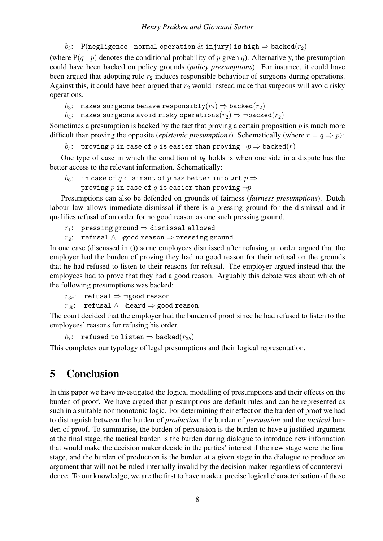b<sub>3</sub>: P(negligence | normal operation  $\&$  injury) is high  $\Rightarrow$  backed( $r_2$ )

(where  $P(q | p)$  denotes the conditional probability of p given q). Alternatively, the presumption could have been backed on policy grounds (*policy presumptions*). For instance, it could have been argued that adopting rule  $r_2$  induces responsible behaviour of surgeons during operations. Against this, it could have been argued that  $r_2$  would instead make that surgeons will avoid risky operations.

b<sub>3</sub>: makes surgeons behave responsibly $(r_2) \Rightarrow$  backed $(r_2)$ 

 $b_4$ : makes surgeons avoid risky operations $(r_2) \Rightarrow \neg$ backed $(r_2)$ 

Sometimes a presumption is backed by the fact that proving a certain proposition  $p$  is much more difficult than proving the opposite (*epistemic presumptions*). Schematically (where  $r = q \Rightarrow p$ ):

b<sub>5</sub>: proving p in case of q is easier than proving  $\neg p \Rightarrow$  backed(r)

One type of case in which the condition of  $b_5$  holds is when one side in a dispute has the better access to the relevant information. Schematically:

 $b_6$ : in case of q claimant of p has better info wrt  $p \Rightarrow$ proving p in case of q is easier than proving  $\neg p$ 

Presumptions can also be defended on grounds of fairness (*fairness presumptions*). Dutch labour law allows immediate dismissal if there is a pressing ground for the dismissal and it qualifies refusal of an order for no good reason as one such pressing ground.

```
r_1: pressing ground \Rightarrow dismissal allowed
```
 $r_2$ : refusal ∧ ¬good reason  $\Rightarrow$  pressing ground

In one case (discussed in ()) some employees dismissed after refusing an order argued that the employer had the burden of proving they had no good reason for their refusal on the grounds that he had refused to listen to their reasons for refusal. The employer argued instead that the employees had to prove that they had a good reason. Arguably this debate was about which of the following presumptions was backed:

```
r_{3a}: refusal \Rightarrow \neggood reason
```
 $r_{3b}$ : refusal ∧ ¬heard ⇒ good reason

The court decided that the employer had the burden of proof since he had refused to listen to the employees' reasons for refusing his order.

 $b_7$ : refused to listen  $\Rightarrow$  backed $(r_{3b})$ 

This completes our typology of legal presumptions and their logical representation.

# 5 Conclusion

In this paper we have investigated the logical modelling of presumptions and their effects on the burden of proof. We have argued that presumptions are default rules and can be represented as such in a suitable nonmonotonic logic. For determining their effect on the burden of proof we had to distinguish between the burden of *production*, the burden of *persuasion* and the *tactical* burden of proof. To summarise, the burden of persuasion is the burden to have a justified argument at the final stage, the tactical burden is the burden during dialogue to introduce new information that would make the decision maker decide in the parties' interest if the new stage were the final stage, and the burden of production is the burden at a given stage in the dialogue to produce an argument that will not be ruled internally invalid by the decision maker regardless of counterevidence. To our knowledge, we are the first to have made a precise logical characterisation of these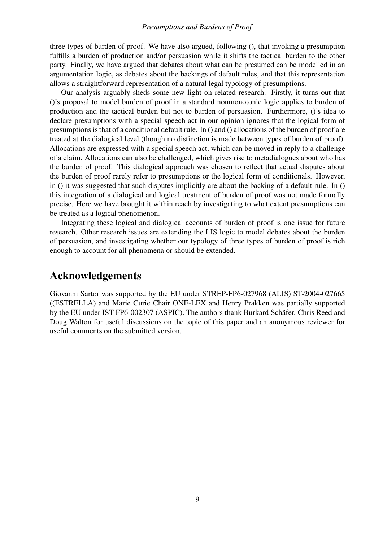#### *Presumptions and Burdens of Proof*

three types of burden of proof. We have also argued, following (), that invoking a presumption fulfills a burden of production and/or persuasion while it shifts the tactical burden to the other party. Finally, we have argued that debates about what can be presumed can be modelled in an argumentation logic, as debates about the backings of default rules, and that this representation allows a straightforward representation of a natural legal typology of presumptions.

Our analysis arguably sheds some new light on related research. Firstly, it turns out that ()'s proposal to model burden of proof in a standard nonmonotonic logic applies to burden of production and the tactical burden but not to burden of persuasion. Furthermore, ()'s idea to declare presumptions with a special speech act in our opinion ignores that the logical form of presumptions is that of a conditional default rule. In () and () allocations of the burden of proof are treated at the dialogical level (though no distinction is made between types of burden of proof). Allocations are expressed with a special speech act, which can be moved in reply to a challenge of a claim. Allocations can also be challenged, which gives rise to metadialogues about who has the burden of proof. This dialogical approach was chosen to reflect that actual disputes about the burden of proof rarely refer to presumptions or the logical form of conditionals. However, in () it was suggested that such disputes implicitly are about the backing of a default rule. In () this integration of a dialogical and logical treatment of burden of proof was not made formally precise. Here we have brought it within reach by investigating to what extent presumptions can be treated as a logical phenomenon.

Integrating these logical and dialogical accounts of burden of proof is one issue for future research. Other research issues are extending the LIS logic to model debates about the burden of persuasion, and investigating whether our typology of three types of burden of proof is rich enough to account for all phenomena or should be extended.

### Acknowledgements

Giovanni Sartor was supported by the EU under STREP-FP6-027968 (ALIS) ST-2004-027665 ((ESTRELLA) and Marie Curie Chair ONE-LEX and Henry Prakken was partially supported by the EU under IST-FP6-002307 (ASPIC). The authors thank Burkard Schäfer, Chris Reed and Doug Walton for useful discussions on the topic of this paper and an anonymous reviewer for useful comments on the submitted version.